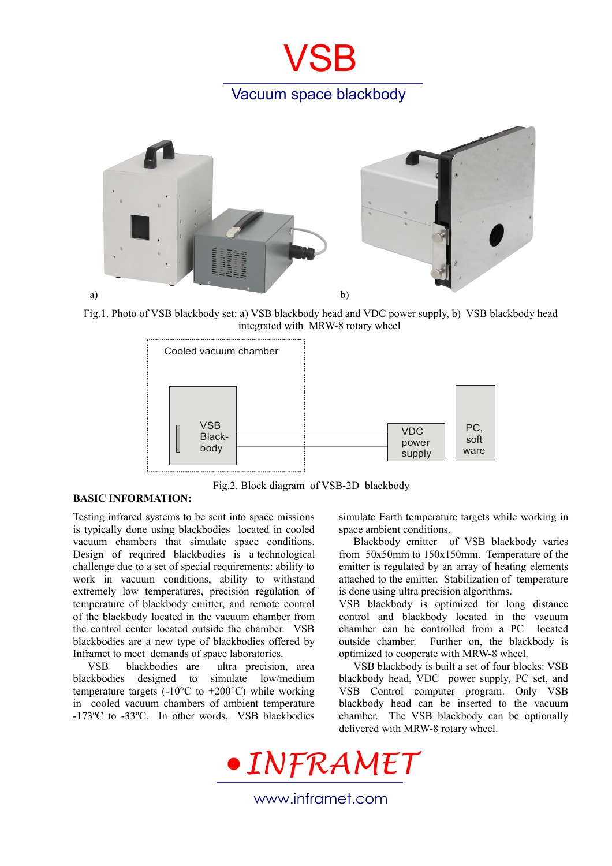## **VSB** Vacuum space blackbody



Fig.1. Photo of VSB blackbody set: a) VSB blackbody head and VDC power supply, b) VSB blackbody head integrated with MRW-8 rotary wheel



**BASIC INFORMATION:**

Fig.2. Block diagram of VSB-2D blackbody

Testing infrared systems to be sent into space missions is typically done using blackbodies located in cooled vacuum chambers that simulate space conditions. Design of required blackbodies is a technological challenge due to a set of special requirements: ability to work in vacuum conditions, ability to withstand extremely low temperatures, precision regulation of temperature of blackbody emitter, and remote control of the blackbody located in the vacuum chamber from the control center located outside the chamber. VSB blackbodies are a new type of blackbodies offered by Inframet to meet demands of space laboratories.

VSB blackbodies are ultra precision, area blackbodies designed to simulate low/medium temperature targets (-10 $\degree$ C to +200 $\degree$ C) while working in cooled vacuum chambers of ambient temperature -173ºC to -33ºC. In other words, VSB blackbodies simulate Earth temperature targets while working in space ambient conditions.

Blackbody emitter of VSB blackbody varies from 50x50mm to 150x150mm. Temperature of the emitter is regulated by an array of heating elements attached to the emitter. Stabilization of temperature is done using ultra precision algorithms.

VSB blackbody is optimized for long distance control and blackbody located in the vacuum chamber can be controlled from a PC located outside chamber. Further on, the blackbody is optimized to cooperate with MRW-8 wheel.

VSB blackbody is built a set of four blocks: VSB blackbody head, VDC power supply, PC set, and VSB Control computer program. Only VSB blackbody head can be inserted to the vacuum chamber. The VSB blackbody can be optionally delivered with MRW-8 rotary wheel.



www.inframet.com